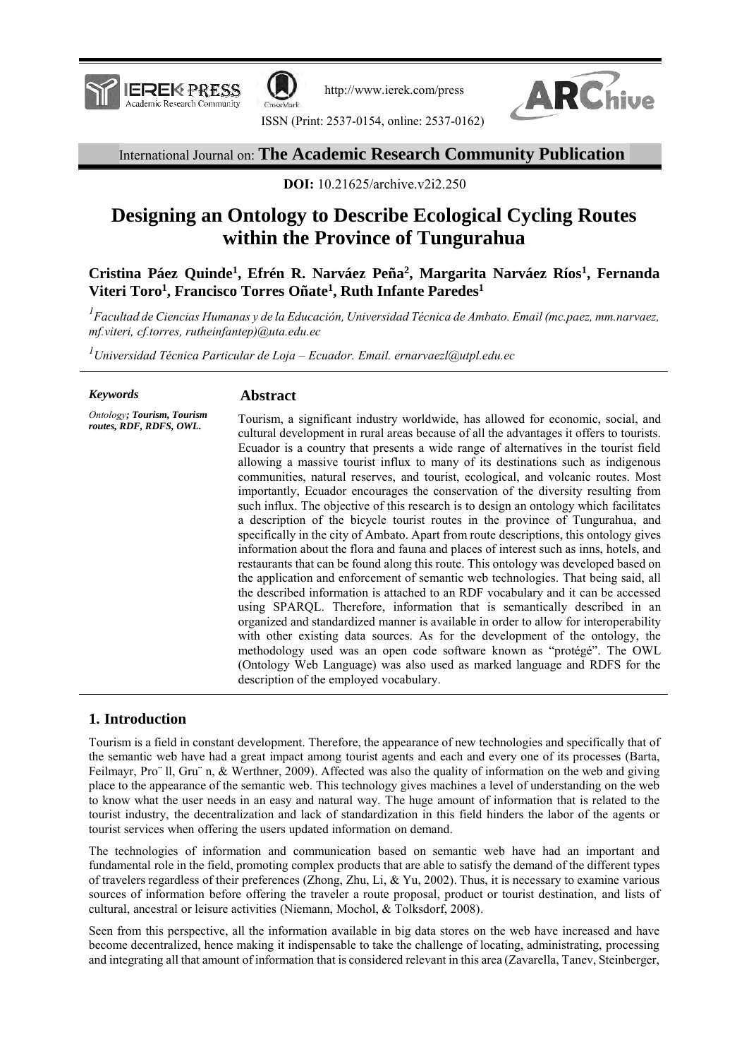

http://www.ierek.com/press



ISSN (Print: 2537-0154, online: 2537-0162)

## International Journal on: **The Academic Research Community Publication**

**DOI:** 10.21625/archive.v2i2.250

# **Designing an Ontology to Describe Ecological Cycling Routes within the Province of Tungurahua**

**Cristina Páez Quinde<sup>1</sup> , Efrén R. Narváez Peña<sup>2</sup> , Margarita Narváez Ríos<sup>1</sup> , Fernanda Viteri Toro<sup>1</sup> , Francisco Torres Oñate<sup>1</sup> , Ruth Infante Paredes<sup>1</sup>**

*<sup>1</sup>Facultad de Ciencias Humanas y de la Educación, Universidad Técnica de Ambato. Email (mc.paez, mm.narvaez, mf.viteri, cf.torres, rutheinfantep)@uta.edu.ec*

*<sup>1</sup>Universidad Técnica Particular de Loja – Ecuador. Email. ernarvaezl@utpl.edu.ec*

#### *Keywords*

#### **Abstract**

*Ontology; Tourism, Tourism routes, RDF, RDFS, OWL.*

Tourism, a significant industry worldwide, has allowed for economic, social, and cultural development in rural areas because of all the advantages it offers to tourists. Ecuador is a country that presents a wide range of alternatives in the tourist field allowing a massive tourist influx to many of its destinations such as indigenous communities, natural reserves, and tourist, ecological, and volcanic routes. Most importantly, Ecuador encourages the conservation of the diversity resulting from such influx. The objective of this research is to design an ontology which facilitates a description of the bicycle tourist routes in the province of Tungurahua, and specifically in the city of Ambato. Apart from route descriptions, this ontology gives information about the flora and fauna and places of interest such as inns, hotels, and restaurants that can be found along this route. This ontology was developed based on the application and enforcement of semantic web technologies. That being said, all the described information is attached to an RDF vocabulary and it can be accessed using SPARQL. Therefore, information that is semantically described in an organized and standardized manner is available in order to allow for interoperability with other existing data sources. As for the development of the ontology, the methodology used was an open code software known as "protégé". The OWL (Ontology Web Language) was also used as marked language and RDFS for the description of the employed vocabulary.

## **1. Introduction**

Tourism is a field in constant development. Therefore, the appearance of new technologies and specifically that of the semantic web have had a great impact among tourist agents and each and every one of its processes (Barta, Feilmayr, Pro¨ ll, Gru¨ n, & Werthner, 2009). Affected was also the quality of information on the web and giving place to the appearance of the semantic web. This technology gives machines a level of understanding on the web to know what the user needs in an easy and natural way. The huge amount of information that is related to the tourist industry, the decentralization and lack of standardization in this field hinders the labor of the agents or tourist services when offering the users updated information on demand.

The technologies of information and communication based on semantic web have had an important and fundamental role in the field, promoting complex products that are able to satisfy the demand of the different types of travelers regardless of their preferences (Zhong, Zhu, Li, & Yu, 2002). Thus, it is necessary to examine various sources of information before offering the traveler a route proposal, product or tourist destination, and lists of cultural, ancestral or leisure activities (Niemann, Mochol, & Tolksdorf, 2008).

Seen from this perspective, all the information available in big data stores on the web have increased and have become decentralized, hence making it indispensable to take the challenge of locating, administrating, processing and integrating all that amount of information that is considered relevant in this area (Zavarella, Tanev, Steinberger,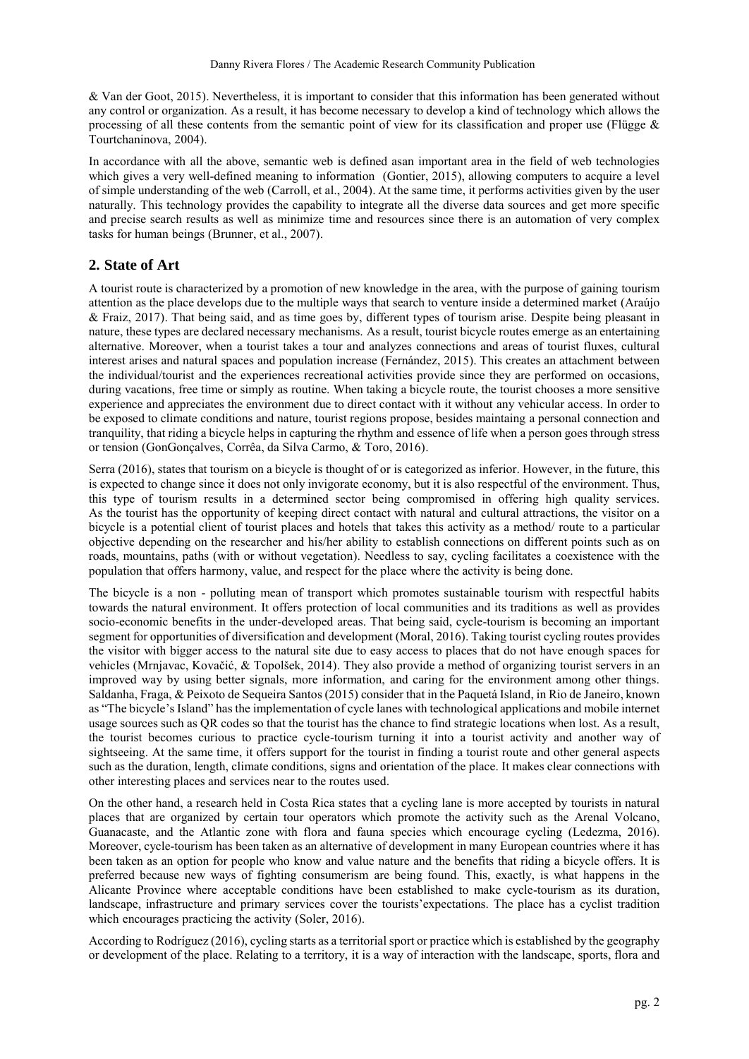& Van der Goot, 2015). Nevertheless, it is important to consider that this information has been generated without any control or organization. As a result, it has become necessary to develop a kind of technology which allows the processing of all these contents from the semantic point of view for its classification and proper use (Flügge  $\&$ Tourtchaninova, 2004).

In accordance with all the above, semantic web is defined asan important area in the field of web technologies which gives a very well-defined meaning to information (Gontier, 2015), allowing computers to acquire a level of simple understanding of the web (Carroll, et al., 2004). At the same time, it performs activities given by the user naturally. This technology provides the capability to integrate all the diverse data sources and get more specific and precise search results as well as minimize time and resources since there is an automation of very complex tasks for human beings (Brunner, et al., 2007).

## **2. State of Art**

A tourist route is characterized by a promotion of new knowledge in the area, with the purpose of gaining tourism attention as the place develops due to the multiple ways that search to venture inside a determined market (Araújo & Fraiz, 2017). That being said, and as time goes by, different types of tourism arise. Despite being pleasant in nature, these types are declared necessary mechanisms. As a result, tourist bicycle routes emerge as an entertaining alternative. Moreover, when a tourist takes a tour and analyzes connections and areas of tourist fluxes, cultural interest arises and natural spaces and population increase (Fernández, 2015). This creates an attachment between the individual/tourist and the experiences recreational activities provide since they are performed on occasions, during vacations, free time or simply as routine. When taking a bicycle route, the tourist chooses a more sensitive experience and appreciates the environment due to direct contact with it without any vehicular access. In order to be exposed to climate conditions and nature, tourist regions propose, besides maintaing a personal connection and tranquility, that riding a bicycle helps in capturing the rhythm and essence of life when a person goes through stress or tension (GonGonçalves, Corrêa, da Silva Carmo, & Toro, 2016).

Serra (2016), states that tourism on a bicycle is thought of or is categorized as inferior. However, in the future, this is expected to change since it does not only invigorate economy, but it is also respectful of the environment. Thus, this type of tourism results in a determined sector being compromised in offering high quality services. As the tourist has the opportunity of keeping direct contact with natural and cultural attractions, the visitor on a bicycle is a potential client of tourist places and hotels that takes this activity as a method/ route to a particular objective depending on the researcher and his/her ability to establish connections on different points such as on roads, mountains, paths (with or without vegetation). Needless to say, cycling facilitates a coexistence with the population that offers harmony, value, and respect for the place where the activity is being done.

The bicycle is a non - polluting mean of transport which promotes sustainable tourism with respectful habits towards the natural environment. It offers protection of local communities and its traditions as well as provides socio-economic benefits in the under-developed areas. That being said, cycle-tourism is becoming an important segment for opportunities of diversification and development (Moral, 2016). Taking tourist cycling routes provides the visitor with bigger access to the natural site due to easy access to places that do not have enough spaces for vehicles (Mrnjavac, Kovačić, & Topolšek, 2014). They also provide a method of organizing tourist servers in an improved way by using better signals, more information, and caring for the environment among other things. Saldanha, Fraga, & Peixoto de Sequeira Santos (2015) consider that in the Paquetá Island, in Rio de Janeiro, known as "The bicycle's Island" has the implementation of cycle lanes with technological applications and mobile internet usage sources such as QR codes so that the tourist has the chance to find strategic locations when lost. As a result, the tourist becomes curious to practice cycle-tourism turning it into a tourist activity and another way of sightseeing. At the same time, it offers support for the tourist in finding a tourist route and other general aspects such as the duration, length, climate conditions, signs and orientation of the place. It makes clear connections with other interesting places and services near to the routes used.

On the other hand, a research held in Costa Rica states that a cycling lane is more accepted by tourists in natural places that are organized by certain tour operators which promote the activity such as the Arenal Volcano, Guanacaste, and the Atlantic zone with flora and fauna species which encourage cycling (Ledezma, 2016). Moreover, cycle-tourism has been taken as an alternative of development in many European countries where it has been taken as an option for people who know and value nature and the benefits that riding a bicycle offers. It is preferred because new ways of fighting consumerism are being found. This, exactly, is what happens in the Alicante Province where acceptable conditions have been established to make cycle-tourism as its duration, landscape, infrastructure and primary services cover the tourists'expectations. The place has a cyclist tradition which encourages practicing the activity (Soler, 2016).

According to Rodríguez (2016), cycling starts as a territorial sport or practice which is established by the geography or development of the place. Relating to a territory, it is a way of interaction with the landscape, sports, flora and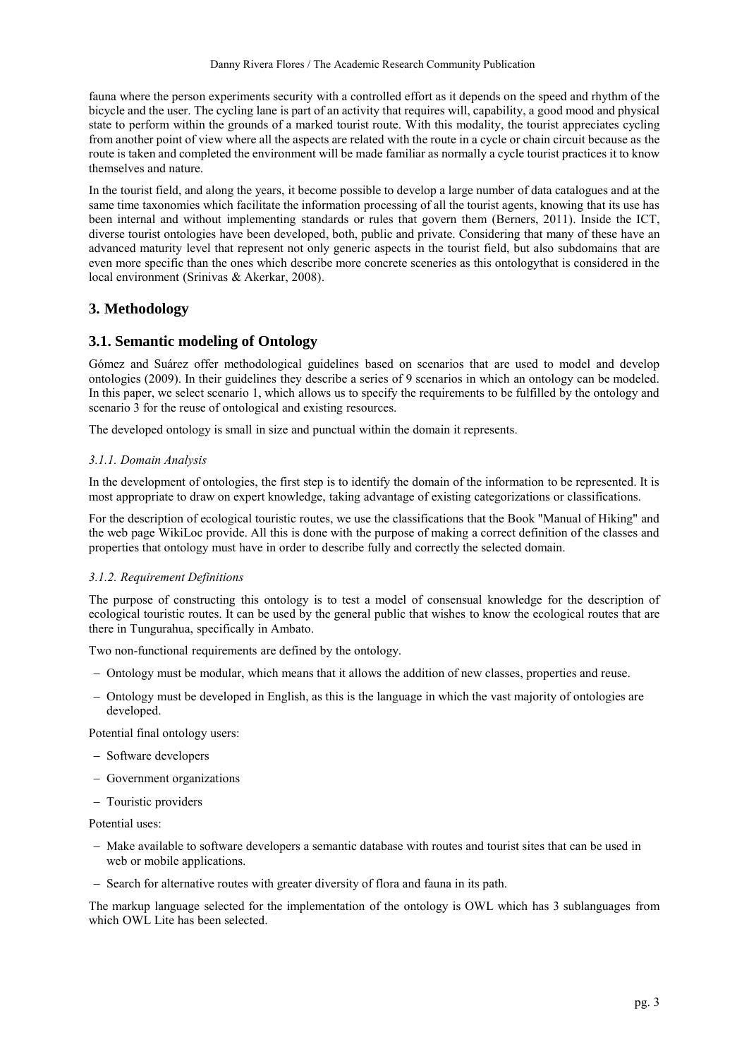fauna where the person experiments security with a controlled effort as it depends on the speed and rhythm of the bicycle and the user. The cycling lane is part of an activity that requires will, capability, a good mood and physical state to perform within the grounds of a marked tourist route. With this modality, the tourist appreciates cycling from another point of view where all the aspects are related with the route in a cycle or chain circuit because as the route is taken and completed the environment will be made familiar as normally a cycle tourist practices it to know themselves and nature.

In the tourist field, and along the years, it become possible to develop a large number of data catalogues and at the same time taxonomies which facilitate the information processing of all the tourist agents, knowing that its use has been internal and without implementing standards or rules that govern them (Berners, 2011). Inside the ICT, diverse tourist ontologies have been developed, both, public and private. Considering that many of these have an advanced maturity level that represent not only generic aspects in the tourist field, but also subdomains that are even more specific than the ones which describe more concrete sceneries as this ontologythat is considered in the local environment (Srinivas & Akerkar, 2008).

## **3. Methodology**

### **3.1. Semantic modeling of Ontology**

Gómez and Suárez offer methodological guidelines based on scenarios that are used to model and develop ontologies (2009). In their guidelines they describe a series of 9 scenarios in which an ontology can be modeled. In this paper, we select scenario 1, which allows us to specify the requirements to be fulfilled by the ontology and scenario 3 for the reuse of ontological and existing resources.

The developed ontology is small in size and punctual within the domain it represents.

#### *3.1.1. Domain Analysis*

In the development of ontologies, the first step is to identify the domain of the information to be represented. It is most appropriate to draw on expert knowledge, taking advantage of existing categorizations or classifications.

For the description of ecological touristic routes, we use the classifications that the Book "Manual of Hiking" and the web page WikiLoc provide. All this is done with the purpose of making a correct definition of the classes and properties that ontology must have in order to describe fully and correctly the selected domain.

#### *3.1.2. Requirement Definitions*

The purpose of constructing this ontology is to test a model of consensual knowledge for the description of ecological touristic routes. It can be used by the general public that wishes to know the ecological routes that are there in Tungurahua, specifically in Ambato.

Two non-functional requirements are defined by the ontology.

- Ontology must be modular, which means that it allows the addition of new classes, properties and reuse.
- Ontology must be developed in English, as this is the language in which the vast majority of ontologies are developed.

Potential final ontology users:

- Software developers
- Government organizations
- Touristic providers

Potential uses:

- Make available to software developers a semantic database with routes and tourist sites that can be used in web or mobile applications.
- Search for alternative routes with greater diversity of flora and fauna in its path.

The markup language selected for the implementation of the ontology is OWL which has 3 sublanguages from which OWL Lite has been selected.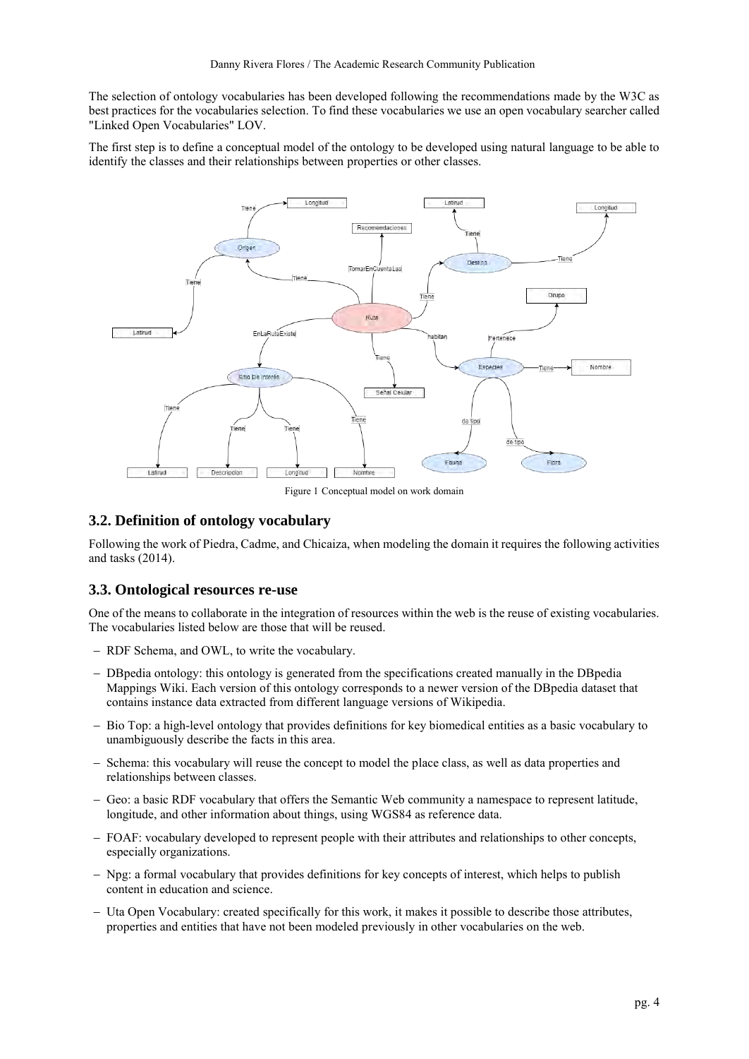The selection of ontology vocabularies has been developed following the recommendations made by the W3C as best practices for the vocabularies selection. To find these vocabularies we use an open vocabulary searcher called "Linked Open Vocabularies" LOV.

The first step is to define a conceptual model of the ontology to be developed using natural language to be able to identify the classes and their relationships between properties or other classes.



Figure 1 Conceptual model on work domain

## **3.2. Definition of ontology vocabulary**

Following the work of Piedra, Cadme, and Chicaiza, when modeling the domain it requires the following activities and tasks (2014).

## **3.3. Ontological resources re-use**

One of the means to collaborate in the integration of resources within the web is the reuse of existing vocabularies. The vocabularies listed below are those that will be reused.

- RDF Schema, and OWL, to write the vocabulary.
- DBpedia ontology: this ontology is generated from the specifications created manually in the DBpedia Mappings Wiki. Each version of this ontology corresponds to a newer version of the DBpedia dataset that contains instance data extracted from different language versions of Wikipedia.
- Bio Top: a high-level ontology that provides definitions for key biomedical entities as a basic vocabulary to unambiguously describe the facts in this area.
- Schema: this vocabulary will reuse the concept to model the place class, as well as data properties and relationships between classes.
- Geo: a basic RDF vocabulary that offers the Semantic Web community a namespace to represent latitude, longitude, and other information about things, using WGS84 as reference data.
- FOAF: vocabulary developed to represent people with their attributes and relationships to other concepts, especially organizations.
- Npg: a formal vocabulary that provides definitions for key concepts of interest, which helps to publish content in education and science.
- Uta Open Vocabulary: created specifically for this work, it makes it possible to describe those attributes, properties and entities that have not been modeled previously in other vocabularies on the web.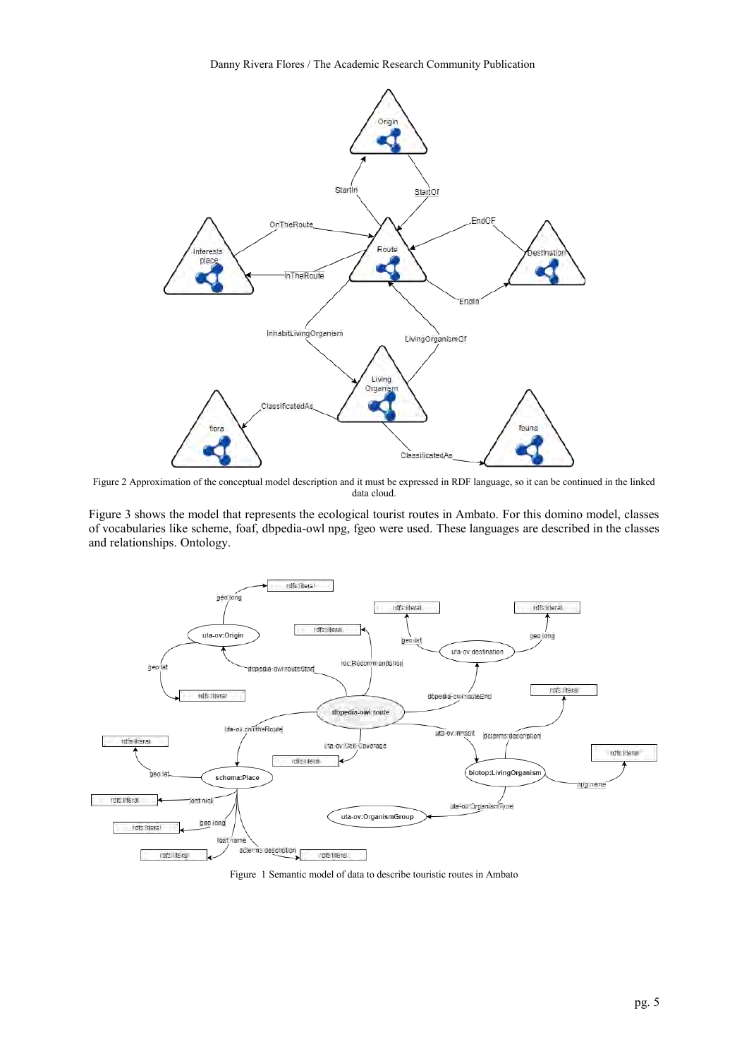Danny Rivera Flores / The Academic Research Community Publication



Figure 2 Approximation of the conceptual model description and it must be expressed in RDF language, so it can be continued in the linked data cloud.

Figure 3 shows the model that represents the ecological tourist routes in Ambato. For this domino model, classes of vocabularies like scheme, foaf, dbpedia-owl npg, fgeo were used. These languages are described in the classes and relationships. Ontology.



Figure 1 Semantic model of data to describe touristic routes in Ambato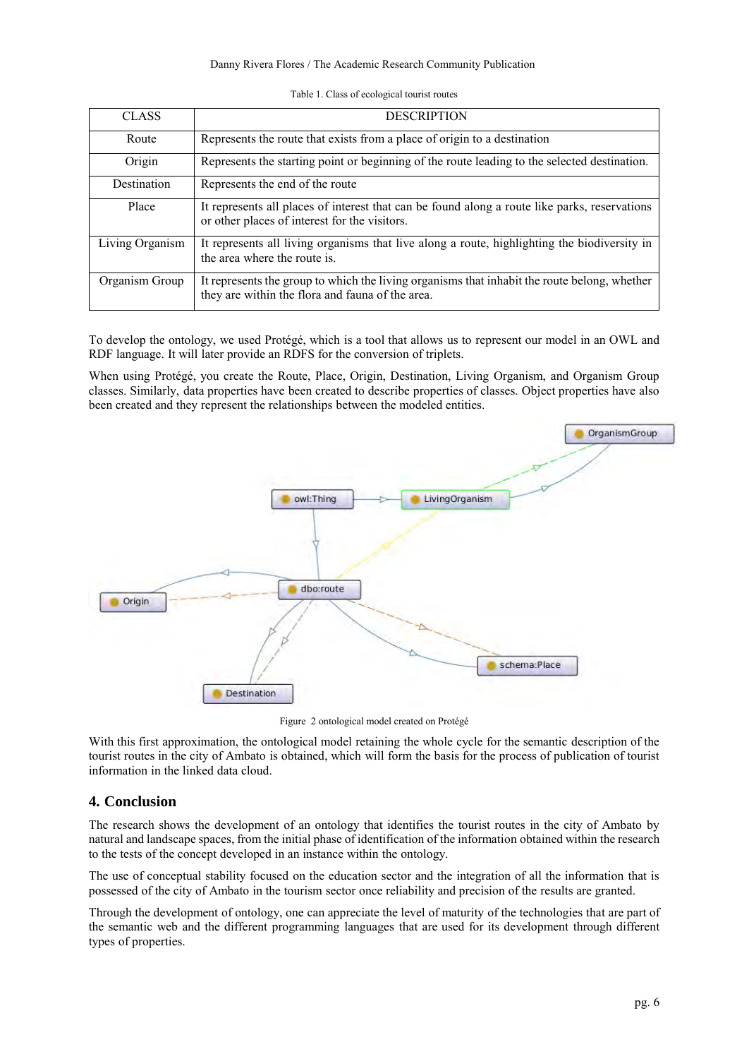#### Danny Rivera Flores / The Academic Research Community Publication

Table 1. Class of ecological tourist routes

| <b>CLASS</b>    | <b>DESCRIPTION</b>                                                                                                                               |
|-----------------|--------------------------------------------------------------------------------------------------------------------------------------------------|
| Route           | Represents the route that exists from a place of origin to a destination                                                                         |
| Origin          | Represents the starting point or beginning of the route leading to the selected destination.                                                     |
| Destination     | Represents the end of the route                                                                                                                  |
| Place           | It represents all places of interest that can be found along a route like parks, reservations<br>or other places of interest for the visitors.   |
| Living Organism | It represents all living organisms that live along a route, highlighting the biodiversity in<br>the area where the route is.                     |
| Organism Group  | It represents the group to which the living organisms that inhabit the route belong, whether<br>they are within the flora and fauna of the area. |

To develop the ontology, we used Protégé, which is a tool that allows us to represent our model in an OWL and RDF language. It will later provide an RDFS for the conversion of triplets.

When using Protégé, you create the Route, Place, Origin, Destination, Living Organism, and Organism Group classes. Similarly, data properties have been created to describe properties of classes. Object properties have also been created and they represent the relationships between the modeled entities.



Figure 2 ontological model created on Protégé

With this first approximation, the ontological model retaining the whole cycle for the semantic description of the tourist routes in the city of Ambato is obtained, which will form the basis for the process of publication of tourist information in the linked data cloud.

## **4. Conclusion**

The research shows the development of an ontology that identifies the tourist routes in the city of Ambato by natural and landscape spaces, from the initial phase of identification of the information obtained within the research to the tests of the concept developed in an instance within the ontology.

The use of conceptual stability focused on the education sector and the integration of all the information that is possessed of the city of Ambato in the tourism sector once reliability and precision of the results are granted.

Through the development of ontology, one can appreciate the level of maturity of the technologies that are part of the semantic web and the different programming languages that are used for its development through different types of properties.